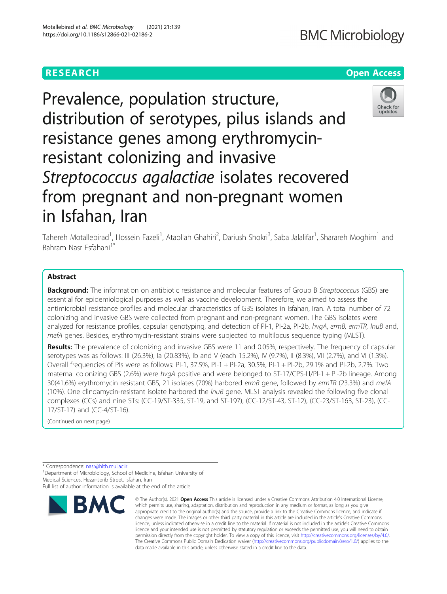# **RESEARCH CHE Open Access**

Prevalence, population structure, distribution of serotypes, pilus islands and resistance genes among erythromycinresistant colonizing and invasive Streptococcus agalactiae isolates recovered from pregnant and non-pregnant women in Isfahan, Iran



Tahereh Motallebirad<sup>1</sup>, Hossein Fazeli<sup>1</sup>, Ataollah Ghahiri<sup>2</sup>, Dariush Shokri<sup>3</sup>, Saba Jalalifar<sup>1</sup>, Sharareh Moghim<sup>1</sup> and Bahram Nasr Esfahani<sup>1\*</sup>

# Abstract

Background: The information on antibiotic resistance and molecular features of Group B Streptococcus (GBS) are essential for epidemiological purposes as well as vaccine development. Therefore, we aimed to assess the antimicrobial resistance profiles and molecular characteristics of GBS isolates in Isfahan, Iran. A total number of 72 colonizing and invasive GBS were collected from pregnant and non-pregnant women. The GBS isolates were analyzed for resistance profiles, capsular genotyping, and detection of PI-1, PI-2a, PI-2b, hvgA, ermB, ermTR, lnuB and, mefA genes. Besides, erythromycin-resistant strains were subjected to multilocus sequence typing (MLST).

Results: The prevalence of colonizing and invasive GBS were 11 and 0.05%, respectively. The frequency of capsular serotypes was as follows: III (26.3%), Ia (20.83%), Ib and V (each 15.2%), IV (9.7%), II (8.3%), VII (2.7%), and VI (1.3%). Overall frequencies of PIs were as follows: PI-1, 37.5%, PI-1 + PI-2a, 30.5%, PI-1 + PI-2b, 29.1% and PI-2b, 2.7%. Two maternal colonizing GBS (2.6%) were hvgA positive and were belonged to ST-17/CPS-III/PI-1 + PI-2b lineage. Among 30(41.6%) erythromycin resistant GBS, 21 isolates (70%) harbored ermB gene, followed by ermTR (23.3%) and mefA (10%). One clindamycin-resistant isolate harbored the lnuB gene. MLST analysis revealed the following five clonal complexes (CCs) and nine STs: (CC-19/ST-335, ST-19, and ST-197), (CC-12/ST-43, ST-12), (CC-23/ST-163, ST-23), (CC-17/ST-17) and (CC-4/ST-16).

(Continued on next page)

\* Correspondence: [nasr@hlth.mui.ac.ir](mailto:nasr@hlth.mui.ac.ir) <sup>1</sup>

<sup>1</sup> Department of Microbiology, School of Medicine, Isfahan University of Medical Sciences, Hezar-Jerib Street, Isfahan, Iran Full list of author information is available at the end of the article



<sup>©</sup> The Author(s), 2021 **Open Access** This article is licensed under a Creative Commons Attribution 4.0 International License, which permits use, sharing, adaptation, distribution and reproduction in any medium or format, as long as you give appropriate credit to the original author(s) and the source, provide a link to the Creative Commons licence, and indicate if changes were made. The images or other third party material in this article are included in the article's Creative Commons licence, unless indicated otherwise in a credit line to the material. If material is not included in the article's Creative Commons licence and your intended use is not permitted by statutory regulation or exceeds the permitted use, you will need to obtain permission directly from the copyright holder. To view a copy of this licence, visit [http://creativecommons.org/licenses/by/4.0/.](http://creativecommons.org/licenses/by/4.0/) The Creative Commons Public Domain Dedication waiver [\(http://creativecommons.org/publicdomain/zero/1.0/](http://creativecommons.org/publicdomain/zero/1.0/)) applies to the data made available in this article, unless otherwise stated in a credit line to the data.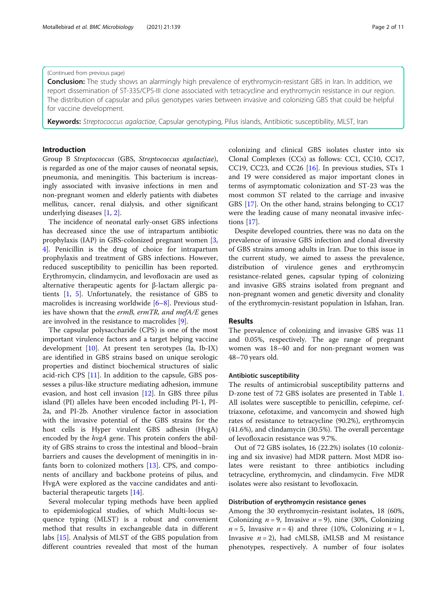# (Continued from previous page)

Conclusion: The study shows an alarmingly high prevalence of erythromycin-resistant GBS in Iran. In addition, we report dissemination of ST-335/CPS-III clone associated with tetracycline and erythromycin resistance in our region. The distribution of capsular and pilus genotypes varies between invasive and colonizing GBS that could be helpful for vaccine development.

Keywords: Streptococcus agalactiae, Capsular genotyping, Pilus islands, Antibiotic susceptibility, MLST, Iran

# Introduction

Group B Streptococcus (GBS, Streptococcus agalactiae), is regarded as one of the major causes of neonatal sepsis, pneumonia, and meningitis. This bacterium is increasingly associated with invasive infections in men and non-pregnant women and elderly patients with diabetes mellitus, cancer, renal dialysis, and other significant underlying diseases [[1,](#page-9-0) [2\]](#page-9-0).

The incidence of neonatal early-onset GBS infections has decreased since the use of intrapartum antibiotic prophylaxis (IAP) in GBS-colonized pregnant women [\[3](#page-9-0), [4\]](#page-9-0). Penicillin is the drug of choice for intrapartum prophylaxis and treatment of GBS infections. However, reduced susceptibility to penicillin has been reported. Erythromycin, clindamycin, and levofloxacin are used as alternative therapeutic agents for β-lactam allergic patients [[1,](#page-9-0) [5](#page-9-0)]. Unfortunately, the resistance of GBS to macrolides is increasing worldwide [\[6](#page-9-0)–[8\]](#page-9-0). Previous studies have shown that the *ermB*, *ermTR*, and mefA/E genes are involved in the resistance to macrolides [[9](#page-9-0)].

The capsular polysaccharide (CPS) is one of the most important virulence factors and a target helping vaccine development [\[10](#page-9-0)]. At present ten serotypes (Ia, Ib-IX) are identified in GBS strains based on unique serologic properties and distinct biochemical structures of sialic acid-rich CPS [[11\]](#page-9-0). In addition to the capsule, GBS possesses a pilus-like structure mediating adhesion, immune evasion, and host cell invasion [\[12](#page-9-0)]. In GBS three pilus island (PI) alleles have been encoded including PI-1, PI-2a, and PI-2b. Another virulence factor in association with the invasive potential of the GBS strains for the host cells is Hyper virulent GBS adhesin (HvgA) encoded by the *hvgA* gene. This protein confers the ability of GBS strains to cross the intestinal and blood–brain barriers and causes the development of meningitis in infants born to colonized mothers [\[13](#page-9-0)]. CPS, and components of ancillary and backbone proteins of pilus, and HvgA were explored as the vaccine candidates and antibacterial therapeutic targets [[14](#page-9-0)].

Several molecular typing methods have been applied to epidemiological studies, of which Multi-locus sequence typing (MLST) is a robust and convenient method that results in exchangeable data in different labs [[15\]](#page-9-0). Analysis of MLST of the GBS population from different countries revealed that most of the human

colonizing and clinical GBS isolates cluster into six Clonal Complexes (CCs) as follows: CC1, CC10, CC17, CC19, CC23, and CC26  $[16]$  $[16]$ . In previous studies, STs 1 and 19 were considered as major important clones in terms of asymptomatic colonization and ST-23 was the most common ST related to the carriage and invasive GBS [\[17](#page-9-0)]. On the other hand, strains belonging to CC17 were the leading cause of many neonatal invasive infections [[17\]](#page-9-0).

Despite developed countries, there was no data on the prevalence of invasive GBS infection and clonal diversity of GBS strains among adults in Iran. Due to this issue in the current study, we aimed to assess the prevalence, distribution of virulence genes and erythromycin resistance-related genes, capsular typing of colonizing and invasive GBS strains isolated from pregnant and non-pregnant women and genetic diversity and clonality of the erythromycin-resistant population in Isfahan, Iran.

# Results

The prevalence of colonizing and invasive GBS was 11 and 0.05%, respectively. The age range of pregnant women was 18–40 and for non-pregnant women was 48–70 years old.

# Antibiotic susceptibility

The results of antimicrobial susceptibility patterns and D-zone test of 72 GBS isolates are presented in Table [1](#page-2-0). All isolates were susceptible to penicillin, cefepime, ceftriaxone, cefotaxime, and vancomycin and showed high rates of resistance to tetracycline (90.2%), erythromycin (41.6%), and clindamycin (30.5%). The overall percentage of levofloxacin resistance was 9.7%.

Out of 72 GBS isolates, 16 (22.2%) isolates (10 colonizing and six invasive) had MDR pattern. Most MDR isolates were resistant to three antibiotics including tetracycline, erythromycin, and clindamycin. Five MDR isolates were also resistant to levofloxacin.

# Distribution of erythromycin resistance genes

Among the 30 erythromycin-resistant isolates, 18 (60%, Colonizing  $n = 9$ , Invasive  $n = 9$ ), nine (30%, Colonizing  $n = 5$ , Invasive  $n = 4$ ) and three (10%, Colonizing  $n = 1$ , Invasive  $n = 2$ ), had cMLSB, iMLSB and M resistance phenotypes, respectively. A number of four isolates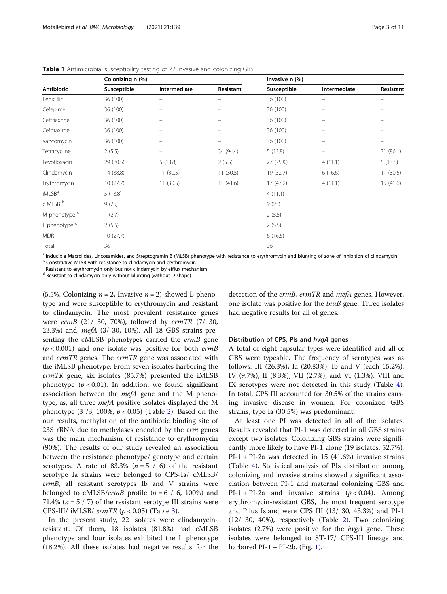|                          | Colonizing n (%) |                                |                          | Invasive n (%) |                          |                                |  |
|--------------------------|------------------|--------------------------------|--------------------------|----------------|--------------------------|--------------------------------|--|
| <b>Antibiotic</b>        | Susceptible      | Intermediate                   | Resistant                | Susceptible    | Intermediate             | Resistant                      |  |
| Penicillin               | 36 (100)         | -                              | $\qquad \qquad =$        | 36 (100)       | $\overline{\phantom{0}}$ | $\equiv$                       |  |
| Cefepime                 | 36 (100)         | $\overline{\phantom{m}}$       | $\overline{\phantom{0}}$ | 36 (100)       | -                        |                                |  |
| Ceftriaxone              | 36 (100)         | $\overline{\phantom{m}}$       | $\qquad \qquad -$        | 36 (100)       | $\overline{\phantom{m}}$ | $\qquad \qquad \longleftarrow$ |  |
| Cefotaxime               | 36 (100)         | $\qquad \qquad -$              |                          | 36 (100)       | -                        |                                |  |
| Vancomycin               | 36 (100)         | -                              | $\equiv$                 | 36 (100)       | $\overline{\phantom{m}}$ | $\qquad \qquad \longleftarrow$ |  |
| Tetracycline             | 2(5.5)           | $\qquad \qquad \longleftarrow$ | 34 (94.4)                | 5(13.8)        | $\qquad \qquad -$        | 31(86.1)                       |  |
| Levofloxacin             | 29 (80.5)        | 5(13.8)                        | 2(5.5)                   | 27 (75%)       | 4(11.1)                  | 5(13.8)                        |  |
| Clindamycin              | 14 (38.8)        | 11(30.5)                       | 11(30.5)                 | 19 (52.7)      | 6(16.6)                  | 11(30.5)                       |  |
| Erythromycin             | 10(27.7)         | 11(30.5)                       | 15(41.6)                 | 17(47.2)       | 4(11.1)                  | 15(41.6)                       |  |
| iMLSB <sup>a</sup>       | 5(13.8)          |                                |                          | 4(11.1)        |                          |                                |  |
| c MLSB b                 | 9(25)            |                                |                          | 9(25)          |                          |                                |  |
| M phenotype c            | 1(2.7)           |                                |                          | 2(5.5)         |                          |                                |  |
| L phenotype <sup>d</sup> | 2(5.5)           |                                |                          | 2(5.5)         |                          |                                |  |
| <b>MDR</b>               | 10(27.7)         |                                |                          | 6(16.6)        |                          |                                |  |
| Total                    | 36               |                                |                          | 36             |                          |                                |  |

<span id="page-2-0"></span>Table 1 Antimicrobial susceptibility testing of 72 invasive and colonizing GBS

 $\frac{a}{b}$  Inducible Macrolides, Lincosamides, and Streptogramin B (MLSB) phenotype with resistance to erythromycin and blunting of zone of inhibition of clindamycin b Constitutive MLSB with resistance to clindamycin and e

<sup>c</sup> Resistant to erythromycin only but not clindamycin by efflux mechanism

<sup>d</sup> Resistant to clindamycin only without blunting (without D shape)

(5.5%, Colonizing  $n = 2$ , Invasive  $n = 2$ ) showed L phenotype and were susceptible to erythromycin and resistant to clindamycin. The most prevalent resistance genes were ermB (21/ 30, 70%), followed by ermTR (7/ 30, 23.3%) and, mefA (3/ 30, 10%). All 18 GBS strains presenting the cMLSB phenotypes carried the ermB gene  $(p < 0.001)$  and one isolate was positive for both *ermB* and ermTR genes. The ermTR gene was associated with the iMLSB phenotype. From seven isolates harboring the ermTR gene, six isolates (85.7%) presented the iMLSB phenotype  $(p < 0.01)$ . In addition, we found significant association between the  $mefA$  gene and the M phenotype, as, all three mefA positive isolates displayed the M phenotype  $(3/3, 100\%, p < 0.05)$  (Table [2\)](#page-3-0). Based on the our results, methylation of the antibiotic binding site of 23S rRNA due to methylases encoded by the erm genes was the main mechanism of resistance to erythromycin (90%). The results of our study revealed an association between the resistance phenotype/ genotype and certain serotypes. A rate of 83.3% ( $n = 5 / 6$ ) of the resistant serotype Ia strains were belonged to CPS-Ia/ cMLSB/ ermB, all resistant serotypes Ib and V strains were belonged to cMLSB/*ermB* profile  $(n = 6 / 6, 100%)$  and 71.4% ( $n = 5 / 7$ ) of the resistant serotype III strains were CPS-III/ iMLSB/  $ermTR$  ( $p < 0.05$ ) (Table [3\)](#page-3-0).

In the present study, 22 isolates were clindamycinresistant. Of them, 18 isolates (81.8%) had cMLSB phenotype and four isolates exhibited the L phenotype (18.2%). All these isolates had negative results for the detection of the ermB, ermTR and mefA genes. However, one isolate was positive for the *lnuB* gene. Three isolates had negative results for all of genes.

#### Distribution of CPS, PIs and hvgA genes

A total of eight capsular types were identified and all of GBS were typeable. The frequency of serotypes was as follows: III (26.3%), Ia (20.83%), Ib and V (each 15.2%), IV (9.7%), II (8.3%), VII (2.7%), and VI (1.3%). VIII and IX serotypes were not detected in this study (Table [4](#page-4-0)). In total, CPS III accounted for 30.5% of the strains causing invasive disease in women. For colonized GBS strains, type Ia (30.5%) was predominant.

At least one PI was detected in all of the isolates. Results revealed that PI-1 was detected in all GBS strains except two isolates. Colonizing GBS strains were significantly more likely to have PI-1 alone (19 isolates, 52.7%).  $PI-1 + PI-2a$  was detected in 15 (41.6%) invasive strains (Table [4](#page-4-0)). Statistical analysis of PIs distribution among colonizing and invasive strains showed a significant association between PI-1 and maternal colonizing GBS and  $PI-1 + PI-2a$  and invasive strains ( $p < 0.04$ ). Among erythromycin-resistant GBS, the most frequent serotype and Pilus Island were CPS III (13/ 30, 43.3%) and PI-1 (12/ 30, 40%), respectively (Table [2\)](#page-3-0). Two colonizing isolates  $(2.7%)$  were positive for the  $hvgA$  gene. These isolates were belonged to ST-17/ CPS-III lineage and harbored  $PI-1 + PI-2b$ . (Fig. [1\)](#page-5-0).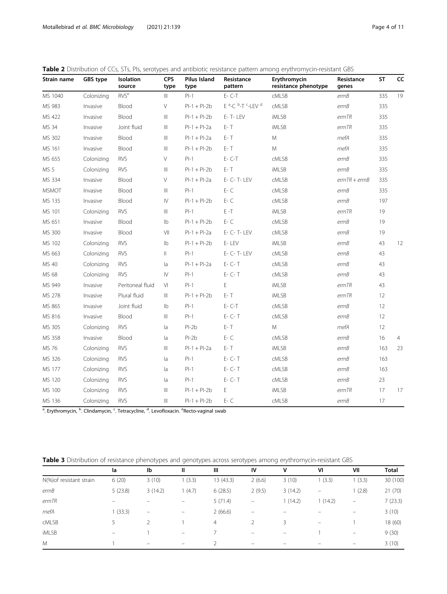<span id="page-3-0"></span>

| Strain name     | <b>GBS type</b> | Isolation<br>source                                                                                                                                | <b>CPS</b><br>type                    | <b>Pilus Island</b><br>type | Resistance<br>pattern                                            | Erythromycin<br>resistance phenotype | Resistance<br>genes | <b>ST</b> | CC |
|-----------------|-----------------|----------------------------------------------------------------------------------------------------------------------------------------------------|---------------------------------------|-----------------------------|------------------------------------------------------------------|--------------------------------------|---------------------|-----------|----|
| MS 1040         | Colonizing      | RVS <sup>e</sup>                                                                                                                                   | $\parallel \parallel$                 | $PI-1$                      | $E - C - T$                                                      | <b>CMLSB</b>                         | ermB                | 335       | 19 |
| MS 983          | Invasive        | Blood                                                                                                                                              | $\vee$                                | $PI-1 + PI-2b$              | E <sup>a</sup> -C <sup>b</sup> -T <sup>c</sup> -LEV <sup>d</sup> | cMLSB                                | ermB                | 335       |    |
| MS 422          | Invasive        | Blood                                                                                                                                              | $\mathbb{H}$                          | $PI-1 + PI-2b$              | E-T-LEV                                                          | <b>iMLSB</b>                         | ermTR               | 335       |    |
| MS 34           | Invasive        | Joint fluid                                                                                                                                        | Ш                                     | $PI-1 + PI-2a$              | E- T                                                             | <b>iMLSB</b>                         | ermTR               | 335       |    |
| MS 302          | Invasive        | Blood                                                                                                                                              | $\begin{array}{c} \hline \end{array}$ | $PI-1 + PI-2a$              | E- T                                                             | M                                    | mefA                | 335       |    |
| MS 161          | Invasive        | Blood                                                                                                                                              | $\  \ $                               | $PI-1 + PI-2b$              | E- T                                                             | M                                    | mefA                | 335       |    |
| MS 655          | Colonizing      | <b>RVS</b>                                                                                                                                         | $\vee$                                | $PI-1$                      | $E - C - T$                                                      | <b>CMLSB</b>                         | ermB                | 335       |    |
| MS <sub>5</sub> | Colonizing      | <b>RVS</b>                                                                                                                                         | $\begin{array}{c} \hline \end{array}$ | $PI-1 + PI-2b$              | E- T                                                             | <b>iMLSB</b>                         | ermB                | 335       |    |
| MS 334          | Invasive        | Blood                                                                                                                                              | V                                     | $PI-1 + PI-2a$              | E- C- T- LEV                                                     | cMLSB                                | $ermTR + ermB$      | 335       |    |
| <b>MSMOT</b>    | Invasive        | Blood                                                                                                                                              | $\begin{array}{c} \hline \end{array}$ | $PI-1$                      | $E - C$                                                          | cMLSB                                | ermB                | 335       |    |
| MS 135          | Invasive        | Blood                                                                                                                                              | $\mathsf{IV}$                         | $PI-1 + PI-2b$              | $E - C$                                                          | cMLSB                                | ermB                | 197       |    |
| MS 101          | Colonizing      | <b>RVS</b>                                                                                                                                         | $\begin{array}{c} \hline \end{array}$ | $PI-1$                      | E-T                                                              | <b>iMLSB</b>                         | ermTR               | 19        |    |
| MS 651          | Invasive        | Blood                                                                                                                                              | $\mathsf{lb}$                         | $PI-1 + PI-2b$              | $E - C$                                                          | <b>CMLSB</b>                         | ermB                | 19        |    |
| MS 300          | Invasive        | Blood                                                                                                                                              | VII                                   | $PI-1 + PI-2a$              | E- C- T- LEV                                                     | <b>CMLSB</b>                         | ermB                | 19        |    |
| MS 102          | Colonizing      | <b>RVS</b>                                                                                                                                         | Ib                                    | $PI-1 + PI-2b$              | E-LEV                                                            | <b>iMLSB</b>                         | ermB                | 43        | 12 |
| MS 663          | Colonizing      | <b>RVS</b>                                                                                                                                         | $\parallel$                           | $PI-1$                      | E- C- T- LEV                                                     | <b>CMLSB</b>                         | ermB                | 43        |    |
| MS 40           | Colonizing      | <b>RVS</b>                                                                                                                                         | la                                    | $PI-1 + PI-2a$              | E- C- T                                                          | <b>CMLSB</b>                         | ermB                | 43        |    |
| MS 68           | Colonizing      | <b>RVS</b>                                                                                                                                         | $\mathsf{IV}$                         | $PI-1$                      | $E - C - T$                                                      | cMLSB                                | ermB                | 43        |    |
| MS 949          | Invasive        | Peritoneal fluid                                                                                                                                   | VI                                    | $PI-1$                      | E                                                                | <b>iMLSB</b>                         | ermTR               | 43        |    |
| MS 278          | Invasive        | Plural fluid                                                                                                                                       | $\mathbb{H}$                          | $PI-1 + PI-2b$              | E- T                                                             | <b>iMLSB</b>                         | ermTR               | 12        |    |
| MS 865          | Invasive        | Joint fluid                                                                                                                                        | $\mathsf{lb}$                         | $PI-1$                      | $E - C - T$                                                      | cMLSB                                | ermB                | 12        |    |
| MS 816          | Invasive        | Blood                                                                                                                                              | Ш                                     | $PI-1$                      | $E - C - T$                                                      | cMLSB                                | ermB                | 12        |    |
| MS 305          | Colonizing      | <b>RVS</b>                                                                                                                                         | la                                    | $Pl-2b$                     | E- T                                                             | M                                    | mefA                | 12        |    |
| MS 358          | Invasive        | Blood                                                                                                                                              | la                                    | $PI-2b$                     | $E - C$                                                          | cMLSB                                | ermB                | 16        | 4  |
| MS 76           | Colonizing      | <b>RVS</b>                                                                                                                                         | Ш                                     | $PI-1 + PI-2a$              | E- T                                                             | <b>iMLSB</b>                         | ermB                | 163       | 23 |
| MS 326          | Colonizing      | <b>RVS</b>                                                                                                                                         | la                                    | $PI-1$                      | $E - C - T$                                                      | <b>CMLSB</b>                         | ermB                | 163       |    |
| MS 177          | Colonizing      | <b>RVS</b>                                                                                                                                         | la                                    | $PI-1$                      | E- C- T                                                          | cMLSB                                | ermB                | 163       |    |
| MS 120          | Colonizing      | <b>RVS</b>                                                                                                                                         | la                                    | $PI-1$                      | $E - C - T$                                                      | <b>CMLSB</b>                         | ermB                | 23        |    |
| MS 100          | Colonizing      | <b>RVS</b>                                                                                                                                         | $\begin{array}{c} \hline \end{array}$ | $PI-1 + PI-2b$              | Е                                                                | iMLSB                                | ermTR               | 17        | 17 |
| MS 136          | Colonizing      | <b>RVS</b>                                                                                                                                         | $\begin{array}{c} \hline \end{array}$ | $PI-1 + PI-2b$              | E-C                                                              | <b>CMLSB</b>                         | ermB                | 17        |    |
|                 |                 | <sup>a</sup> . Erythromycin, <sup>b</sup> . Clindamycin, <sup>c</sup> . Tetracycline, <sup>d</sup> . Levofloxacin. <sup>e</sup> Recto-vaginal swab |                                       |                             |                                                                  |                                      |                     |           |    |

Table 3 Distribution of resistance phenotypes and genotypes across serotypes among erythromycin-resistant GBS

| la      | Ib                | Ш                        | Ш              | IV                       | ٧       | VI                       | VII                      | <b>Total</b> |
|---------|-------------------|--------------------------|----------------|--------------------------|---------|--------------------------|--------------------------|--------------|
| 6(20)   | 3(10)             | 1(3.3)                   | 13 (43.3)      | 2(6.6)                   | 3(10)   | 1(3.3)                   | (3.3)                    | 30 (100)     |
| 5(23.8) | 3(14.2)           | 1(4.7)                   | 6(28.5)        | 2(9.5)                   | 3(14.2) | $\overline{\phantom{m}}$ | 1(2.8)                   | 21(70)       |
|         |                   |                          | 5(71.4)        | $\qquad \qquad -$        | 1(14.2) | 1(14.2)                  | $\overline{\phantom{m}}$ | 7(23.3)      |
| 1(33.3) | $\qquad \qquad -$ | $\qquad \qquad -$        | 2(66.6)        | $\overline{\phantom{0}}$ |         |                          | $\overline{\phantom{0}}$ | 3(10)        |
|         |                   |                          | $\overline{4}$ | $\mathcal{P}$            | 3       | $\overline{\phantom{0}}$ |                          | 18 (60)      |
| -       |                   | $\qquad \qquad =$        |                | $\overline{\phantom{0}}$ | -       |                          | $\overline{\phantom{m}}$ | 9(30)        |
|         | -                 | $\overline{\phantom{0}}$ |                | -                        |         |                          | $\qquad \qquad -$        | 3(10)        |
|         |                   |                          |                |                          |         |                          |                          |              |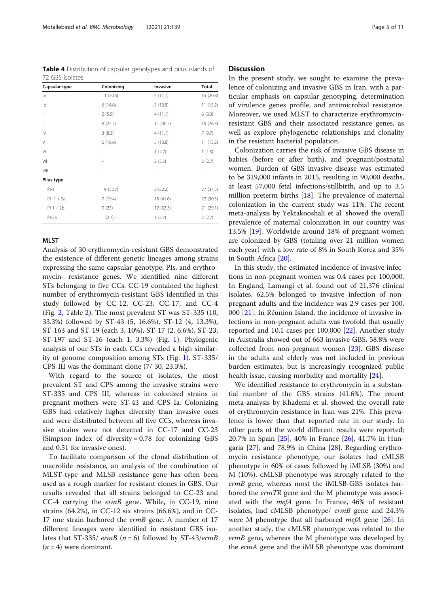<span id="page-4-0"></span>Motallebirad et al. BMC Microbiology (2021) 21:139 Page 5 of 11

Table 4 Distribution of capsular genotypes and pilus islands of 72 GBS isolates

| Capsular type | Colonizing | Invasive  | Total     |
|---------------|------------|-----------|-----------|
| la            | 11 (30.5)  | 4(11.1)   | 15 (20.8) |
| Ib            | 6(16.6)    | 5(13.8)   | 11(15.2)  |
| $\mathbb{I}$  | 2(5.5)     | 4(11.1)   | 6(8.3)    |
| Ш             | 8(22.2)    | 11 (30.5) | 19 (26.3) |
| $\mathsf{IV}$ | 3(8.3)     | 4(11.1)   | 7(9.7)    |
| $\vee$        | 6(16.6)    | 5(13.8)   | 11(15.2)  |
| VI            |            | 1(2.7)    | 1(1.3)    |
| VII           |            | 2(5.5)    | 2(2.7)    |
| VIII          |            |           |           |
| Pilus type    |            |           |           |
| $PI-1$        | 19 (52.7)  | 8(22.2)   | 27 (37.5) |
| $Pl-1+2a$     | 7(19.4)    | 15 (41.6) | 22 (30.5) |
| $Pl-1 + 2b$   | 9(25)      | 12 (33.3) | 21 (29.1) |
| $Pl-2b$       | 1(2.7)     | 1(2.7)    | 2(2.7)    |

# MLST

Analysis of 30 erythromycin-resistant GBS demonstrated the existence of different genetic lineages among strains expressing the same capsular genotype, PIs, and erythromycin- resistance genes. We identified nine different STs belonging to five CCs. CC-19 contained the highest number of erythromycin-resistant GBS identified in this study followed by CC-12, CC-23, CC-17, and CC-4 (Fig. [2](#page-6-0), Table [2](#page-3-0)). The most prevalent ST was ST-335 (10, 33.3%) followed by ST-43 (5, 16.6%), ST-12 (4, 13.3%), ST-163 and ST-19 (each 3, 10%), ST-17 (2, 6.6%), ST-23, ST-197 and ST-16 (each 1, 3.3%) (Fig. [1\)](#page-5-0). Phylogenic analysis of our STs in each CCs revealed a high similarity of genome composition among STs (Fig. [1](#page-5-0)). ST-335/ CPS-III was the dominant clone (7/ 30, 23.3%).

With regard to the source of isolates, the most prevalent ST and CPS among the invasive strains were ST-335 and CPS III, whereas in colonized strains in pregnant mothers were ST-43 and CPS Ia. Colonizing GBS had relatively higher diversity than invasive ones and were distributed between all five CCs, whereas invasive strains were not detected in CC-17 and CC-23 (Simpson index of diversity = 0.78 for colonizing GBS and 0.51 for invasive ones).

To facilitate comparison of the clonal distribution of macrolide resistance, an analysis of the combination of MLST-type and MLSB resistance gene has often been used as a rough marker for resistant clones in GBS. Our results revealed that all strains belonged to CC-23 and CC-4 carrying the ermB gene. While, in CC-19, nine strains (64.2%), in CC-12 six strains (66.6%), and in CC-17 one strain harbored the ermB gene. A number of 17 different lineages were identified in resistant GBS isolates that ST-335/ ermB ( $n = 6$ ) followed by ST-43/ermB  $(n = 4)$  were dominant.

# **Discussion**

In the present study, we sought to examine the prevalence of colonizing and invasive GBS in Iran, with a particular emphasis on capsular genotyping, determination of virulence genes profile, and antimicrobial resistance. Moreover, we used MLST to characterize erythromycinresistant GBS and their associated resistance genes, as well as explore phylogenetic relationships and clonality in the resistant bacterial population.

Colonization carries the risk of invasive GBS disease in babies (before or after birth), and pregnant/postnatal women. Burden of GBS invasive disease was estimated to be 319,000 infants in 2015, resulting in 90,000 deaths, at least 57,000 fetal infections/stillbirth, and up to 3.5 million preterm births [[18](#page-9-0)]. The prevalence of maternal colonization in the current study was 11%. The recent meta-analysis by Yektakooshali et al. showed the overall prevalence of maternal colonization in our country was 13.5% [\[19](#page-9-0)]. Worldwide around 18% of pregnant women are colonized by GBS (totaling over 21 million women each year) with a low rate of 8% in South Korea and 35% in South Africa [\[20](#page-9-0)].

In this study, the estimated incidence of invasive infections in non-pregnant women was 0.4 cases per 100,000. In England, Lamangi et al. found out of 21,376 clinical isolates, 62.5% belonged to invasive infection of nonpregnant adults and the incidence was 2.9 cases per 100, 000 [[21\]](#page-9-0). In Réunion Island, the incidence of invasive infections in non-pregnant adults was twofold that usually reported and 10.1 cases per 100,000 [[22](#page-9-0)]. Another study in Australia showed out of 663 invasive GBS, 58.8% were collected from non-pregnant women [[23\]](#page-9-0). GBS disease in the adults and elderly was not included in previous burden estimates, but is increasingly recognized public health issue, causing morbidity and mortality [\[24](#page-9-0)].

We identified resistance to erythromycin in a substantial number of the GBS strains (41.6%). The recent meta-analysis by Khademi et al. showed the overall rate of erythromycin resistance in Iran was 21%. This prevalence is lower than that reported rate in our study. In other parts of the world different results were reported; 20.7% in Spain [\[25](#page-9-0)], 40% in France [[26](#page-9-0)], 41.7% in Hungaria  $[27]$  $[27]$  $[27]$ , and 78.9% in China  $[28]$  $[28]$ . Regarding erythromycin resistance phenotype, our isolates had cMLSB phenotype in 60% of cases followed by iMLSB (30%) and M (10%). cMLSB phenotype was strongly related to the ermB gene, whereas most the iMLSB-GBS isolates harbored the *ermTR* gene and the M phenotype was associated with the mefA gene. In France, 46% of resistant isolates, had cMLSB phenotype/ ermB gene and 24.3% were M phenotype that all harbored *mefA* gene  $[26]$ . In another study, the cMLSB phenotype was related to the ermB gene, whereas the M phenotype was developed by the *ermA* gene and the *iMLSB* phenotype was dominant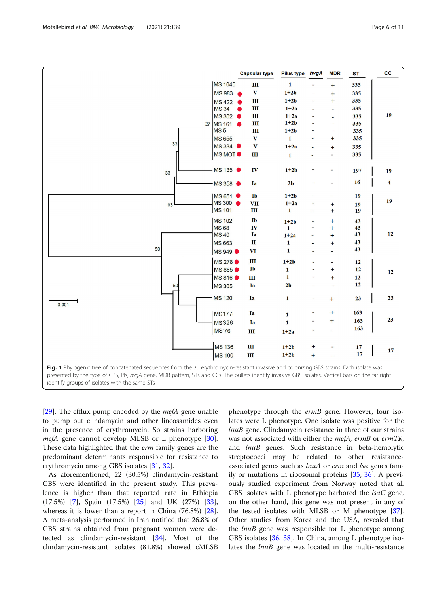[[29\]](#page-10-0). The efflux pump encoded by the *mefA* gene unable to pump out clindamycin and other lincosamides even in the presence of erythromycin. So strains harboring mefA gene cannot develop MLSB or L phenotype [\[30](#page-10-0)]. These data highlighted that the *erm* family genes are the predominant determinants responsible for resistance to erythromycin among GBS isolates [[31,](#page-10-0) [32\]](#page-10-0).

As aforementioned, 22 (30.5%) clindamycin-resistant GBS were identified in the present study. This prevalence is higher than that reported rate in Ethiopia (17.5%) [\[7](#page-9-0)], Spain (17.5%) [[25\]](#page-9-0) and UK (27%) [\[33](#page-10-0)], whereas it is lower than a report in China (76.8%) [\[28](#page-9-0)]. A meta-analysis performed in Iran notified that 26.8% of GBS strains obtained from pregnant women were detected as clindamycin-resistant [[34\]](#page-10-0). Most of the clindamycin-resistant isolates (81.8%) showed cMLSB

phenotype through the ermB gene. However, four isolates were L phenotype. One isolate was positive for the lnuB gene. Clindamycin resistance in three of our strains was not associated with either the mefA, ermB or ermTR, and lnuB genes. Such resistance in beta-hemolytic streptococci may be related to other resistanceassociated genes such as lnuA or erm and lsa genes family or mutations in ribosomal proteins [\[35,](#page-10-0) [36](#page-10-0)]. A previously studied experiment from Norway noted that all GBS isolates with L phenotype harbored the *lsaC* gene, on the other hand, this gene was not present in any of the tested isolates with MLSB or M phenotype [\[37](#page-10-0)]. Other studies from Korea and the USA, revealed that the *lnuB* gene was responsible for L phenotype among GBS isolates [\[36](#page-10-0), [38](#page-10-0)]. In China, among L phenotype isolates the *lnuB* gene was located in the multi-resistance

<span id="page-5-0"></span>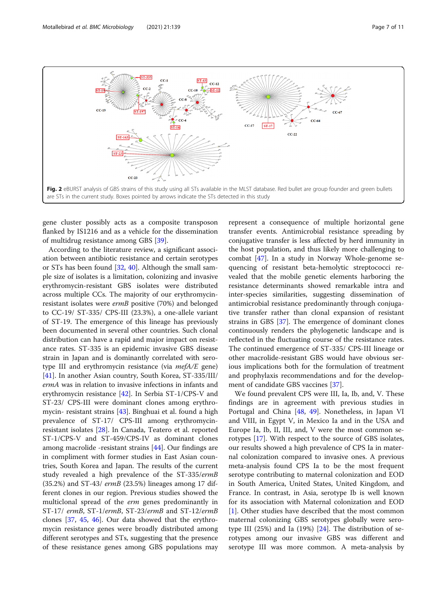<span id="page-6-0"></span>

gene cluster possibly acts as a composite transposon flanked by IS1216 and as a vehicle for the dissemination of multidrug resistance among GBS [\[39\]](#page-10-0).

According to the literature review, a significant association between antibiotic resistance and certain serotypes or STs has been found [[32,](#page-10-0) [40\]](#page-10-0). Although the small sample size of isolates is a limitation, colonizing and invasive erythromycin-resistant GBS isolates were distributed across multiple CCs. The majority of our erythromycinresistant isolates were ermB positive (70%) and belonged to CC-19/ ST-335/ CPS-III (23.3%), a one-allele variant of ST-19. The emergence of this lineage has previously been documented in several other countries. Such clonal distribution can have a rapid and major impact on resistance rates. ST-335 is an epidemic invasive GBS disease strain in Japan and is dominantly correlated with serotype III and erythromycin resistance (via mefA/E gene) [[41\]](#page-10-0). In another Asian country, South Korea, ST-335/III/ ermA was in relation to invasive infections in infants and erythromycin resistance [[42](#page-10-0)]. In Serbia ST-1/CPS-V and ST-23/ CPS-III were dominant clones among erythromycin- resistant strains [[43](#page-10-0)]. Binghuai et al. found a high prevalence of ST-17/ CPS-III among erythromycinresistant isolates [[28\]](#page-9-0). In Canada, Teatero et al. reported ST-1/CPS-V and ST-459/CPS-IV as dominant clones among macrolide -resistant strains [[44\]](#page-10-0). Our findings are in compliment with former studies in East Asian countries, South Korea and Japan. The results of the current study revealed a high prevalence of the ST-335/ermB (35.2%) and ST-43/ ermB (23.5%) lineages among 17 different clones in our region. Previous studies showed the multiclonal spread of the *erm* genes predominantly in ST-17/ ermB, ST-1/ermB, ST-23/ermB and ST-12/ermB clones [[37,](#page-10-0) [45,](#page-10-0) [46](#page-10-0)]. Our data showed that the erythromycin resistance genes were broadly distributed among different serotypes and STs, suggesting that the presence of these resistance genes among GBS populations may represent a consequence of multiple horizontal gene transfer events. Antimicrobial resistance spreading by conjugative transfer is less affected by herd immunity in the host population, and thus likely more challenging to combat [[47\]](#page-10-0). In a study in Norway Whole-genome sequencing of resistant beta-hemolytic streptococci revealed that the mobile genetic elements harboring the resistance determinants showed remarkable intra and inter-species similarities, suggesting dissemination of antimicrobial resistance predominantly through conjugative transfer rather than clonal expansion of resistant strains in GBS [[37\]](#page-10-0). The emergence of dominant clones continuously renders the phylogenetic landscape and is reflected in the fluctuating course of the resistance rates. The continued emergence of ST-335/ CPS-III lineage or other macrolide-resistant GBS would have obvious serious implications both for the formulation of treatment and prophylaxis recommendations and for the development of candidate GBS vaccines [[37\]](#page-10-0).

We found prevalent CPS were III, Ia, Ib, and, V. These findings are in agreement with previous studies in Portugal and China [[48,](#page-10-0) [49](#page-10-0)]. Nonetheless, in Japan VI and VIII, in Egypt V, in Mexico Ia and in the USA and Europe Ia, Ib, II, III, and, V were the most common serotypes [[17\]](#page-9-0). With respect to the source of GBS isolates, our results showed a high prevalence of CPS Ia in maternal colonization compared to invasive ones. A previous meta-analysis found CPS Ia to be the most frequent serotype contributing to maternal colonization and EOD in South America, United States, United Kingdom, and France. In contrast, in Asia, serotype Ib is well known for its association with Maternal colonization and EOD [[1\]](#page-9-0). Other studies have described that the most common maternal colonizing GBS serotypes globally were serotype III (25%) and Ia (19%) [\[24](#page-9-0)]. The distribution of serotypes among our invasive GBS was different and serotype III was more common. A meta-analysis by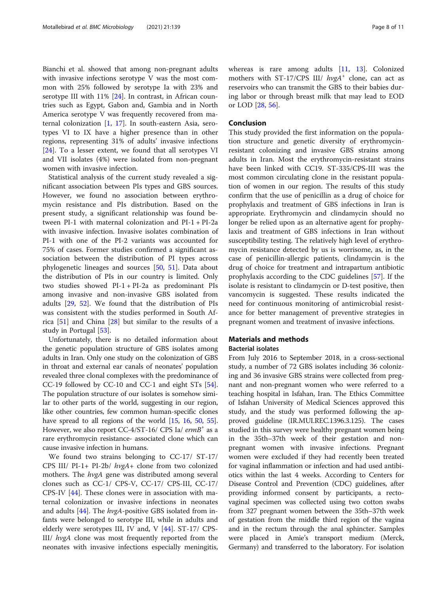Bianchi et al. showed that among non-pregnant adults with invasive infections serotype V was the most common with 25% followed by serotype Ia with 23% and serotype III with 11% [\[24\]](#page-9-0). In contrast, in African countries such as Egypt, Gabon and, Gambia and in North America serotype V was frequently recovered from maternal colonization [\[1](#page-9-0), [17](#page-9-0)]. In south-eastern Asia, serotypes VI to IX have a higher presence than in other regions, representing 31% of adults' invasive infections [[24\]](#page-9-0). To a lesser extent, we found that all serotypes VI and VII isolates (4%) were isolated from non-pregnant women with invasive infection.

Statistical analysis of the current study revealed a significant association between PIs types and GBS sources. However, we found no association between erythromycin resistance and PIs distribution. Based on the present study, a significant relationship was found between PI-1 with maternal colonization and PI-1 + PI-2a with invasive infection. Invasive isolates combination of PI-1 with one of the PI-2 variants was accounted for 75% of cases. Former studies confirmed a significant association between the distribution of PI types across phylogenetic lineages and sources [\[50](#page-10-0), [51\]](#page-10-0). Data about the distribution of PIs in our country is limited. Only two studies showed PI-1 + PI-2a as predominant PIs among invasive and non-invasive GBS isolated from adults [\[29,](#page-10-0) [52\]](#page-10-0). We found that the distribution of PIs was consistent with the studies performed in South Africa [\[51\]](#page-10-0) and China [[28\]](#page-9-0) but similar to the results of a study in Portugal [[53\]](#page-10-0).

Unfortunately, there is no detailed information about the genetic population structure of GBS isolates among adults in Iran. Only one study on the colonization of GBS in throat and external ear canals of neonates' population revealed three clonal complexes with the predominance of CC-19 followed by CC-10 and CC-1 and eight STs [[54](#page-10-0)]. The population structure of our isolates is somehow similar to other parts of the world, suggesting in our region, like other countries, few common human-specific clones have spread to all regions of the world [[15](#page-9-0), [16](#page-9-0), [50](#page-10-0), [55](#page-10-0)]. However, we also report CC-4/ST-16/ CPS Ia/ $ermB<sup>+</sup>$  as a rare erythromycin resistance- associated clone which can cause invasive infection in humans.

We found two strains belonging to CC-17/ ST-17/ CPS III/ PI-1+ PI-2b/ hvgA+ clone from two colonized mothers. The hvgA gene was distributed among several clones such as CC-1/ CPS-V, CC-17/ CPS-III, CC-17/ CPS-IV [\[44](#page-10-0)]. These clones were in association with maternal colonization or invasive infections in neonates and adults  $[44]$  $[44]$ . The  $hvgA$ -positive GBS isolated from infants were belonged to serotype III, while in adults and elderly were serotypes III, IV and, V [\[44\]](#page-10-0). ST-17/ CPS-III/ hvgA clone was most frequently reported from the neonates with invasive infections especially meningitis, whereas is rare among adults [[11](#page-9-0), [13](#page-9-0)]. Colonized mothers with ST-17/CPS III/  $h\nu gA^+$  clone, can act as reservoirs who can transmit the GBS to their babies during labor or through breast milk that may lead to EOD or LOD [[28,](#page-9-0) [56\]](#page-10-0).

# Conclusion

This study provided the first information on the population structure and genetic diversity of erythromycinresistant colonizing and invasive GBS strains among adults in Iran. Most the erythromycin-resistant strains have been linked with CC19. ST-335/CPS-III was the most common circulating clone in the resistant population of women in our region. The results of this study confirm that the use of penicillin as a drug of choice for prophylaxis and treatment of GBS infections in Iran is appropriate. Erythromycin and clindamycin should no longer be relied upon as an alternative agent for prophylaxis and treatment of GBS infections in Iran without susceptibility testing. The relatively high level of erythromycin resistance detected by us is worrisome, as, in the case of penicillin-allergic patients, clindamycin is the drug of choice for treatment and intrapartum antibiotic prophylaxis according to the CDC guidelines [[57](#page-10-0)]. If the isolate is resistant to clindamycin or D-test positive, then vancomycin is suggested. These results indicated the need for continuous monitoring of antimicrobial resistance for better management of preventive strategies in pregnant women and treatment of invasive infections.

# Materials and methods

# Bacterial isolates

From July 2016 to September 2018, in a cross-sectional study, a number of 72 GBS isolates including 36 colonizing and 36 invasive GBS strains were collected from pregnant and non-pregnant women who were referred to a teaching hospital in Isfahan, Iran. The Ethics Committee of Isfahan University of Medical Sciences approved this study, and the study was performed following the approved guideline (IR.MUI.REC.1396.3.125). The cases studied in this survey were healthy pregnant women being in the 35th–37th week of their gestation and nonpregnant women with invasive infections. Pregnant women were excluded if they had recently been treated for vaginal inflammation or infection and had used antibiotics within the last 4 weeks. According to Centers for Disease Control and Prevention (CDC) guidelines, after providing informed consent by participants, a rectovaginal specimen was collected using two cotton swabs from 327 pregnant women between the 35th–37th week of gestation from the middle third region of the vagina and in the rectum through the anal sphincter. Samples were placed in Amie's transport medium (Merck, Germany) and transferred to the laboratory. For isolation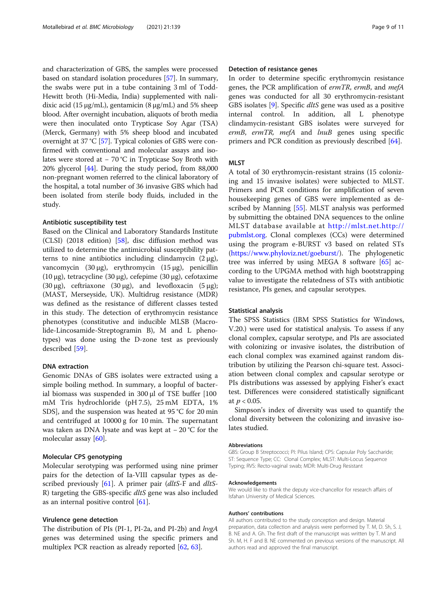and characterization of GBS, the samples were processed based on standard isolation procedures [\[57](#page-10-0)]. In summary, the swabs were put in a tube containing 3 ml of Todd-Hewitt broth (Hi-Media, India) supplemented with nalidixic acid (15 μg/mL), gentamicin (8 μg/mL) and 5% sheep blood. After overnight incubation, aliquots of broth media were then inoculated onto Trypticase Soy Agar (TSA) (Merck, Germany) with 5% sheep blood and incubated overnight at 37 °C [\[57\]](#page-10-0). Typical colonies of GBS were confirmed with conventional and molecular assays and isolates were stored at − 70 °C in Trypticase Soy Broth with 20% glycerol [\[44](#page-10-0)]. During the study period, from 88,000 non-pregnant women referred to the clinical laboratory of the hospital, a total number of 36 invasive GBS which had been isolated from sterile body fluids, included in the study.

#### Antibiotic susceptibility test

Based on the Clinical and Laboratory Standards Institute (CLSI) (2018 edition) [[58](#page-10-0)], disc diffusion method was utilized to determine the antimicrobial susceptibility patterns to nine antibiotics including clindamycin  $(2 \mu g)$ , vancomycin (30 μg), erythromycin (15 μg), penicillin (10 μg), tetracycline (30 μg), cefepime (30 μg), cefotaxime (30 μg), ceftriaxone (30 μg), and levofloxacin (5 μg); (MAST, Merseyside, UK). Multidrug resistance (MDR) was defined as the resistance of different classes tested in this study. The detection of erythromycin resistance phenotypes (constitutive and inducible MLSB (Macrolide-Lincosamide-Streptogramin B), M and L phenotypes) was done using the D-zone test as previously described [[59](#page-10-0)].

#### DNA extraction

Genomic DNAs of GBS isolates were extracted using a simple boiling method. In summary, a loopful of bacterial biomass was suspended in 300 μl of TSE buffer [100 mM Tris hydrochloride (pH 7.5), 25 mM EDTA, 1% SDS], and the suspension was heated at 95 °C for 20 min and centrifuged at 10000 g for 10 min. The supernatant was taken as DNA lysate and was kept at − 20 °C for the molecular assay [\[60\]](#page-10-0).

#### Molecular CPS genotyping

Molecular serotyping was performed using nine primer pairs for the detection of Ia-VIII capsular types as described previously  $[61]$  $[61]$ . A primer pair (dltS-F and dltS-R) targeting the GBS-specific *dltS* gene was also included as an internal positive control [[61\]](#page-10-0).

# Virulence gene detection

The distribution of PIs (PI-1, PI-2a, and PI-2b) and hvgA genes was determined using the specific primers and multiplex PCR reaction as already reported [[62,](#page-10-0) [63](#page-10-0)].

#### Detection of resistance genes

In order to determine specific erythromycin resistance genes, the PCR amplification of ermTR, ermB, and mefA genes was conducted for all 30 erythromycin-resistant GBS isolates [\[9](#page-9-0)]. Specific dltS gene was used as a positive internal control. In addition, all L phenotype clindamycin-resistant GBS isolates were surveyed for ermB, ermTR, mefA and lnuB genes using specific primers and PCR condition as previously described [[64](#page-10-0)].

## **MLST**

A total of 30 erythromycin-resistant strains (15 colonizing and 15 invasive isolates) were subjected to MLST. Primers and PCR conditions for amplification of seven housekeeping genes of GBS were implemented as described by Manning [\[55\]](#page-10-0). MLST analysis was performed by submitting the obtained DNA sequences to the online MLST database available at [http://mlst.net.http://](http://mlst.net.http://pubmlst.org) [pubmlst.org.](http://mlst.net.http://pubmlst.org) Clonal complexes (CCs) were determined using the program e-BURST v3 based on related STs (<https://www.phyloviz.net/goeburst/>). The phylogenetic tree was inferred by using MEGA 8 software [\[65](#page-10-0)] according to the UPGMA method with high bootstrapping value to investigate the relatedness of STs with antibiotic resistance, PIs genes, and capsular serotypes.

#### Statistical analysis

The SPSS Statistics (IBM SPSS Statistics for Windows, V.20.) were used for statistical analysis. To assess if any clonal complex, capsular serotype, and PIs are associated with colonizing or invasive isolates, the distribution of each clonal complex was examined against random distribution by utilizing the Pearson chi-square test. Association between clonal complex and capsular serotype or PIs distributions was assessed by applying Fisher's exact test. Differences were considered statistically significant at  $p < 0.05$ .

Simpson's index of diversity was used to quantify the clonal diversity between the colonizing and invasive isolates studied.

#### Abbreviations

GBS: Group B Streptococci; PI: Pilus Island; CPS: Capsular Poly Saccharide; ST: Sequence Type; CC: Clonal Complex; MLST: Multi-Locus Sequence Typing; RVS: Recto-vaginal swab; MDR: Multi-Drug Resistant

#### Acknowledgements

We would like to thank the deputy vice-chancellor for research affairs of Isfahan University of Medical Sciences.

#### Authors' contributions

All authors contributed to the study conception and design. Material preparation, data collection and analysis were performed by T. M, D. Sh, S. J, B. NE and A. Gh. The first draft of the manuscript was written by T. M and Sh. M, H. F and B. NE commented on previous versions of the manuscript. All authors read and approved the final manuscript.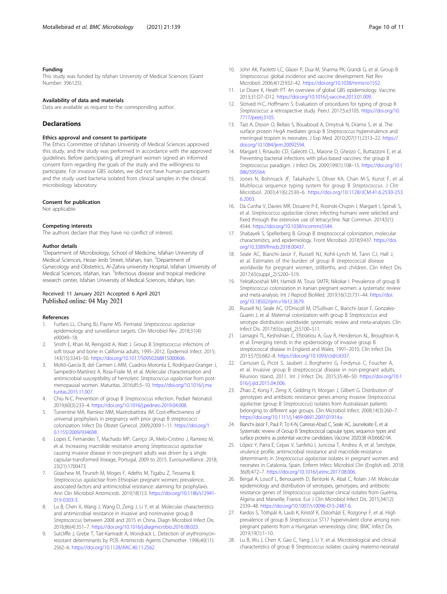#### <span id="page-9-0"></span>Funding

This study was funded by Isfahan University of Medical Sciences (Grant Number: 396125).

#### Availability of data and materials

Data are available as request to the corresponding author.

#### **Declarations**

#### Ethics approval and consent to participate

The Ethics Committee of Isfahan University of Medical Sciences approved this study, and the study was performed in accordance with the approved guidelines. Before participating, all pregnant women signed an informed consent form regarding the goals of the study and the willingness to participate. For invasive GBS isolates, we did not have human participants and the study used bacteria isolated from clinical samples in the clinical microbiology laboratory.

#### Consent for publication

Not applicable.

#### Competing interests

The authors declare that they have no conflict of interest.

#### Author details

<sup>1</sup>Department of Microbiology, School of Medicine, Isfahan University of Medical Sciences, Hezar-Jerib Street, Isfahan, Iran. <sup>2</sup>Department of Gynecology and Obstetrics, Al-Zahra university Hospital, Isfahan University of Medical Sciences, Isfahan, Iran. <sup>3</sup>Infectious disease and tropical medicine research center, Isfahan University of Medical Sciences, Isfahan, Iran.

#### Received: 11 January 2021 Accepted: 6 April 2021 Published online: 04 May 2021

#### References

- Furfaro LL, Chang BJ, Payne MS. Perinatal Streptococcus agalactiae epidemiology and surveillance targets. Clin Microbiol Rev. 2018;31(4): e00049–18.
- 2. Smith E, Khan M, Reingold A, Watt J. Group B Streptococcus infections of soft tissue and bone in California adults, 1995–2012. Epidemiol Infect. 2015; 143(15):3343–50. <https://doi.org/10.1017/S0950268815000606>.
- 3. Moltó-García B, del Carmen L-MM, Cuadros-Moronta E, Rodríguez-Granger J, Sampedro-Martínez A, Rosa-Fraile M, et al. Molecular characterization and antimicrobial susceptibility of hemolytic Streptococcus agalactiae from postmenopausal women. Maturitas. 2016;85:5–10. [https://doi.org/10.1016/j.ma](https://doi.org/10.1016/j.maturitas.2015.11.007) [turitas.2015.11.007](https://doi.org/10.1016/j.maturitas.2015.11.007).
- 4. Chiu N-C. Prevention of group B Streptococcus infection. Pediatr Neonatol. 2019;60(3):233–4. <https://doi.org/10.1016/j.pedneo.2019.04.008>.
- 5. Turrentine MA, Ramirez MM, Mastrobattista JM. Cost-effectiveness of universal prophylaxis in pregnancy with prior group B streptococci colonization. Infect Dis Obstet Gynecol. 2009;2009:1–11. [https://doi.org/1](https://doi.org/10.1155/2009/934698) [0.1155/2009/934698.](https://doi.org/10.1155/2009/934698)
- 6. Lopes E, Fernandes T, Machado MP, Carriço JA, Melo-Cristino J, Ramirez M, et al. Increasing macrolide resistance among Streptococcus agalactiae causing invasive disease in non-pregnant adults was driven by a single capsular-transformed lineage, Portugal, 2009 to 2015. Eurosurveillance. 2018; 23(21):1700473.
- 7. Gizachew M, Tiruneh M, Moges F, Adefris M, Tigabu Z, Tessema B. Streptococcus agalactiae from Ethiopian pregnant women; prevalence, associated factors and antimicrobial resistance: alarming for prophylaxis. Ann Clin Microbiol Antimicrob. 2019;18(1):3. [https://doi.org/10.1186/s12941-](https://doi.org/10.1186/s12941-019-0303-3) [019-0303-3](https://doi.org/10.1186/s12941-019-0303-3).
- 8. Lu B, Chen X, Wang J, Wang D, Zeng J, Li Y, et al. Molecular characteristics and antimicrobial resistance in invasive and noninvasive group B Streptococcus between 2008 and 2015 in China. Diagn Microbiol Infect Dis. 2016;86(4):351–7. <https://doi.org/10.1016/j.diagmicrobio.2016.08.023>.
- Sutcliffe J, Grebe T, Tait-Kamradt A, Wondrack L. Detection of erythromycinresistant determinants by PCR. Antimicrob Agents Chemother. 1996;40(11): 2562–6. <https://doi.org/10.1128/AAC.40.11.2562>.
- 10. Johri AK, Paoletti LC, Glaser P, Dua M, Sharma PK, Grandi G, et al. Group B Streptococcus: global incidence and vaccine development. Nat Rev Microbiol. 2006;4(12):932–42. <https://doi.org/10.1038/nrmicro1552>.
- 11. Le Doare K, Heath PT. An overview of global GBS epidemiology. Vaccine. 2013;31:D7–D12. <https://doi.org/10.1016/j.vaccine.2013.01.009>.
- 12. Slotved H-C, Hoffmann S. Evaluation of procedures for typing of group B Streptococcus: a retrospective study. PeerJ. 2017;5:e3105. [https://doi.org/10.](https://doi.org/10.7717/peerj.3105) [7717/peerj.3105.](https://doi.org/10.7717/peerj.3105)
- 13. Tazi A, Disson O, Bellais S, Bouaboud A, Dmytruk N, Dramsi S, et al. The surface protein HygA mediates group B Streptococcus hypervirulence and meningeal tropism in neonates. J Exp Med. 2010;207(11):2313–22. [https://](https://doi.org/10.1084/jem.20092594) [doi.org/10.1084/jem.20092594](https://doi.org/10.1084/jem.20092594).
- 14. Margarit I, Rinaudo CD, Galeotti CL, Maione D, Ghezzo C, Buttazzoni E, et al. Preventing bacterial infections with pilus-based vaccines: the group B Streptococcus paradigm. J Infect Dis. 2009;199(1):108–15. [https://doi.org/10.1](https://doi.org/10.1086/595564) [086/595564.](https://doi.org/10.1086/595564)
- 15. Jones N, Bohnsack JF, Takahashi S, Oliver KA, Chan M-S, Kunst F, et al. Multilocus sequence typing system for group B Streptococcus. J Clin Microbiol. 2003;41(6):2530–6. [https://doi.org/10.1128/JCM.41.6.2530-253](https://doi.org/10.1128/JCM.41.6.2530-2536.2003) [6.2003](https://doi.org/10.1128/JCM.41.6.2530-2536.2003).
- 16. Da Cunha V, Davies MR, Douarre P-E, Rosinski-Chupin I, Margarit I, Spinali S, et al. Streptococcus agalactiae clones infecting humans were selected and fixed through the extensive use of tetracycline. Nat Commun. 2014;5(1): 4544. <https://doi.org/10.1038/ncomms5544>.
- 17. Shabayek S, Spellerberg B. Group B streptococcal colonization, molecular characteristics, and epidemiology. Front Microbiol. 2018;9:437. [https://doi.](https://doi.org/10.3389/fmicb.2018.00437) [org/10.3389/fmicb.2018.00437](https://doi.org/10.3389/fmicb.2018.00437).
- 18. Seale AC, Bianchi-Jassir F, Russell NJ, Kohli-Lynch M, Tann CJ, Hall J, et al. Estimates of the burden of group B streptococcal disease worldwide for pregnant women, stillbirths, and children. Clin Infect Dis. 2017;65(suppl\_2):S200–S19.
- 19. YektaKooshali MH, Hamidi M, Tousi SMTR, Nikokar I. Prevalence of group B Streptococcus colonization in Iranian pregnant women: a systematic review and meta-analysis. Int J Reprod BioMed. 2019;16(12):731–44. [https://doi.](https://doi.org/10.18502/ijrm.v16i12.3679) [org/10.18502/ijrm.v16i12.3679.](https://doi.org/10.18502/ijrm.v16i12.3679)
- 20. Russell NJ, Seale AC, O'Driscoll M, O'Sullivan C, Bianchi-Jassir F, Gonzalez-Guarin J, et al. Maternal colonization with group B Streptococcus and<br>serotype distribution worldwide: systematic review and meta-analyses. Clin Infect Dis. 2017;65(suppl\_2):S100–S11.
- 21. Lamagni TL, Keshishian C, Efstratiou A, Guy R, Henderson KL, Broughton K, et al. Emerging trends in the epidemiology of invasive group B streptococcal disease in England and Wales, 1991–2010. Clin Infect Dis. 2013;57(5):682–8. <https://doi.org/10.1093/cid/cit337>.
- 22. Camuset G, Picot S, Jaubert J, Borgherini G, Ferdynus C, Foucher A, et al. Invasive group B streptococcal disease in non-pregnant adults, Réunion Island, 2011. Int J Infect Dis. 2015;35:46–50. [https://doi.org/10.1](https://doi.org/10.1016/j.ijid.2015.04.006) [016/j.ijid.2015.04.006.](https://doi.org/10.1016/j.ijid.2015.04.006)
- 23. Zhao Z, Kong F, Zeng X, Gidding H, Morgan J, Gilbert G. Distribution of genotypes and antibiotic resistance genes among invasive Streptococcus agalactiae (group B Streptococcus) isolates from Australasian patients belonging to different age groups. Clin Microbiol Infect. 2008;14(3):260–7. <https://doi.org/10.1111/j.1469-0691.2007.01914.x>.
- 24. Bianchi-Jassir F, Paul P, To K-N, Carreras-Abad C, Seale AC, Jauneikaite E, et al. Systematic review of Group B Streptococcal capsular types, sequence types and surface proteins as potential vaccine candidates. Vaccine. 2020;38 (43):6682-94.
- 25. López Y, Parra E, Cepas V, Sanfeliú I, Juncosa T, Andreu A, et al. Serotype, virulence profile, antimicrobial resistance and macrolide-resistance determinants in Streptococcus agalactiae isolates in pregnant women and neonates in Catalonia, Spain. Enferm Infecc Microbiol Clin (English ed). 2018; 36(8):472–7. <https://doi.org/10.1016/j.eimc.2017.08.006>.
- 26. Bergal A, Loucif L, Benouareth D, Bentorki A, Abat C, Rolain J-M. Molecular epidemiology and distribution of serotypes, genotypes, and antibiotic resistance genes of Streptococcus agalactiae clinical isolates from Guelma, Algeria and Marseille, France. Eur J Clin Microbiol Infect Dis. 2015;34(12): 2339–48. <https://doi.org/10.1007/s10096-015-2487-6>.
- 27. Kardos S, Tóthpál A, Laub K, Kristóf K, Ostorházi E, Rozgonyi F, et al. High prevalence of group B Streptococcus ST17 hypervirulent clone among nonpregnant patients from a Hungarian venereology clinic. BMC Infect Dis. 2019;19(1):1–10.
- 28. Lu B, Wu J, Chen X, Gao C, Yang J, Li Y, et al. Microbiological and clinical characteristics of group B Streptococcus isolates causing materno-neonatal